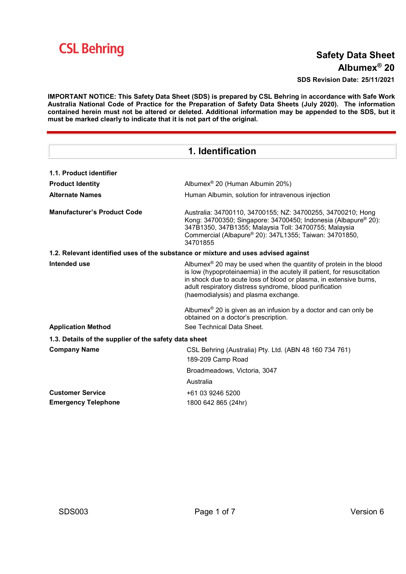

# Safety Data Sheet Albumex® 20

SDS Revision Date: 25/11/2021

IMPORTANT NOTICE: This Safety Data Sheet (SDS) is prepared by CSL Behring in accordance with Safe Work Australia National Code of Practice for the Preparation of Safety Data Sheets (July 2020). The information contained herein must not be altered or deleted. Additional information may be appended to the SDS, but it must be marked clearly to indicate that it is not part of the original.

| 1. Identification                                                                  |                                                                                                                                                                                                                                                                                                                                   |  |
|------------------------------------------------------------------------------------|-----------------------------------------------------------------------------------------------------------------------------------------------------------------------------------------------------------------------------------------------------------------------------------------------------------------------------------|--|
| 1.1. Product identifier                                                            |                                                                                                                                                                                                                                                                                                                                   |  |
| <b>Product Identity</b>                                                            | Albumex <sup>®</sup> 20 (Human Albumin 20%)                                                                                                                                                                                                                                                                                       |  |
| <b>Alternate Names</b>                                                             | Human Albumin, solution for intravenous injection                                                                                                                                                                                                                                                                                 |  |
| <b>Manufacturer's Product Code</b>                                                 | Australia: 34700110, 34700155; NZ: 34700255, 34700210; Hong<br>Kong: 34700350; Singapore: 34700450; Indonesia (Albapure® 20):<br>347B1350, 347B1355; Malaysia Toll: 34700755; Malaysia<br>Commercial (Albapure® 20): 347L1355; Taiwan: 34701850,<br>34701855                                                                      |  |
| 1.2. Relevant identified uses of the substance or mixture and uses advised against |                                                                                                                                                                                                                                                                                                                                   |  |
| Intended use                                                                       | Albumex <sup>®</sup> 20 may be used when the quantity of protein in the blood<br>is low (hypoproteinaemia) in the acutely ill patient, for resuscitation<br>in shock due to acute loss of blood or plasma, in extensive burns,<br>adult respiratory distress syndrome, blood purification<br>(haemodialysis) and plasma exchange. |  |
|                                                                                    | Albumex <sup>®</sup> 20 is given as an infusion by a doctor and can only be<br>obtained on a doctor's prescription.                                                                                                                                                                                                               |  |
| <b>Application Method</b>                                                          | See Technical Data Sheet.                                                                                                                                                                                                                                                                                                         |  |
| 1.3. Details of the supplier of the safety data sheet                              |                                                                                                                                                                                                                                                                                                                                   |  |
| <b>Company Name</b>                                                                | CSL Behring (Australia) Pty. Ltd. (ABN 48 160 734 761)<br>189-209 Camp Road                                                                                                                                                                                                                                                       |  |
|                                                                                    | Broadmeadows, Victoria, 3047                                                                                                                                                                                                                                                                                                      |  |
|                                                                                    | Australia                                                                                                                                                                                                                                                                                                                         |  |
| <b>Customer Service</b>                                                            | +61 03 9246 5200                                                                                                                                                                                                                                                                                                                  |  |
| <b>Emergency Telephone</b>                                                         | 1800 642 865 (24hr)                                                                                                                                                                                                                                                                                                               |  |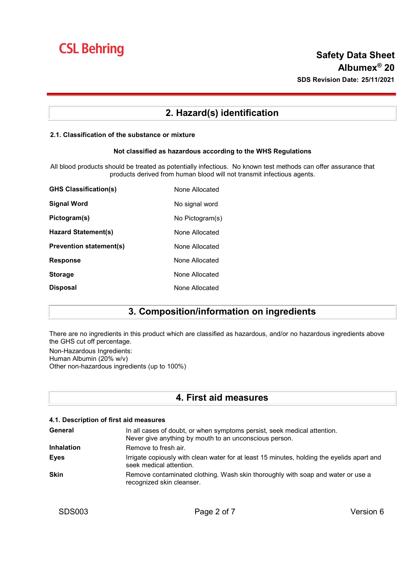# 2. Hazard(s) identification

#### 2.1. Classification of the substance or mixture

#### Not classified as hazardous according to the WHS Regulations

All blood products should be treated as potentially infectious. No known test methods can offer assurance that products derived from human blood will not transmit infectious agents.

| <b>GHS Classification(s)</b>   | None Allocated  |
|--------------------------------|-----------------|
| Signal Word                    | No signal word  |
| Pictogram(s)                   | No Pictogram(s) |
| Hazard Statement(s)            | None Allocated  |
| <b>Prevention statement(s)</b> | None Allocated  |
| <b>Response</b>                | None Allocated  |
| <b>Storage</b>                 | None Allocated  |
| <b>Disposal</b>                | None Allocated  |

### 3. Composition/information on ingredients

There are no ingredients in this product which are classified as hazardous, and/or no hazardous ingredients above the GHS cut off percentage.

Non-Hazardous Ingredients: Human Albumin (20% w/v) Other non-hazardous ingredients (up to 100%)

### 4. First aid measures

#### 4.1. Description of first aid measures

| General           | In all cases of doubt, or when symptoms persist, seek medical attention.<br>Never give anything by mouth to an unconscious person. |
|-------------------|------------------------------------------------------------------------------------------------------------------------------------|
| <b>Inhalation</b> | Remove to fresh air.                                                                                                               |
| <b>Eyes</b>       | Irrigate copiously with clean water for at least 15 minutes, holding the eyelids apart and<br>seek medical attention.              |
| <b>Skin</b>       | Remove contaminated clothing. Wash skin thoroughly with soap and water or use a<br>recognized skin cleanser.                       |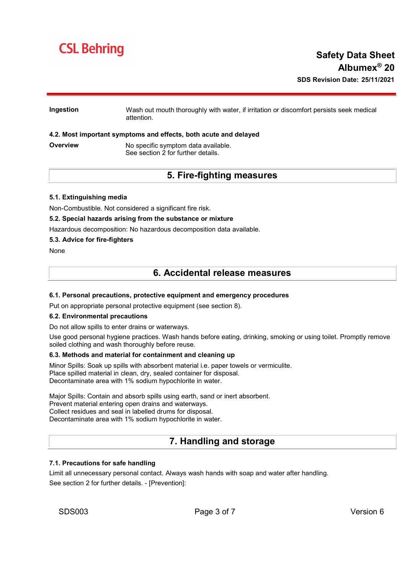# **CSL Behring**

#### Ingestion Wash out mouth thoroughly with water, if irritation or discomfort persists seek medical attention.

#### 4.2. Most important symptoms and effects, both acute and delayed

**Overview Mo specific symptom data available.** See section 2 for further details.

### 5. Fire-fighting measures

#### 5.1. Extinguishing media

Non-Combustible. Not considered a significant fire risk.

#### 5.2. Special hazards arising from the substance or mixture

Hazardous decomposition: No hazardous decomposition data available.

#### 5.3. Advice for fire-fighters

None

### 6. Accidental release measures

#### 6.1. Personal precautions, protective equipment and emergency procedures

Put on appropriate personal protective equipment (see section 8).

#### 6.2. Environmental precautions

Do not allow spills to enter drains or waterways.

Use good personal hygiene practices. Wash hands before eating, drinking, smoking or using toilet. Promptly remove soiled clothing and wash thoroughly before reuse.

#### 6.3. Methods and material for containment and cleaning up

Minor Spills: Soak up spills with absorbent material i.e. paper towels or vermiculite. Place spilled material in clean, dry, sealed container for disposal. Decontaminate area with 1% sodium hypochlorite in water.

Major Spills: Contain and absorb spills using earth, sand or inert absorbent. Prevent material entering open drains and waterways. Collect residues and seal in labelled drums for disposal. Decontaminate area with 1% sodium hypochlorite in water.

# 7. Handling and storage

#### 7.1. Precautions for safe handling

Limit all unnecessary personal contact. Always wash hands with soap and water after handling. See section 2 for further details. - [Prevention]: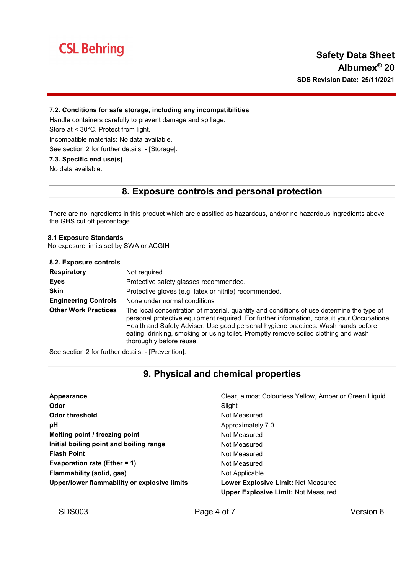

#### 7.2. Conditions for safe storage, including any incompatibilities

Handle containers carefully to prevent damage and spillage.

Store at < 30°C. Protect from light.

Incompatible materials: No data available.

See section 2 for further details. - [Storage]:

#### 7.3. Specific end use(s)

No data available.

### 8. Exposure controls and personal protection

There are no ingredients in this product which are classified as hazardous, and/or no hazardous ingredients above the GHS cut off percentage.

#### 8.1 Exposure Standards

No exposure limits set by SWA or ACGIH

| 8.2. Exposure controls      |                                                                                                                                                                                                                                                                                                                                                                                                 |
|-----------------------------|-------------------------------------------------------------------------------------------------------------------------------------------------------------------------------------------------------------------------------------------------------------------------------------------------------------------------------------------------------------------------------------------------|
| <b>Respiratory</b>          | Not required                                                                                                                                                                                                                                                                                                                                                                                    |
| <b>Eyes</b>                 | Protective safety glasses recommended.                                                                                                                                                                                                                                                                                                                                                          |
| <b>Skin</b>                 | Protective gloves (e.g. latex or nitrile) recommended.                                                                                                                                                                                                                                                                                                                                          |
| <b>Engineering Controls</b> | None under normal conditions                                                                                                                                                                                                                                                                                                                                                                    |
| <b>Other Work Practices</b> | The local concentration of material, quantity and conditions of use determine the type of<br>personal protective equipment required. For further information, consult your Occupational<br>Health and Safety Adviser. Use good personal hygiene practices. Wash hands before<br>eating, drinking, smoking or using toilet. Promptly remove soiled clothing and wash<br>thoroughly before reuse. |

See section 2 for further details. - [Prevention]:

# 9. Physical and chemical properties

| Appearance                                   | Clear, almost Colourless Yellow, Amber or Green Liquid |
|----------------------------------------------|--------------------------------------------------------|
| Odor                                         | Slight                                                 |
| Odor threshold                               | Not Measured                                           |
| рH                                           | Approximately 7.0                                      |
| Melting point / freezing point               | Not Measured                                           |
| Initial boiling point and boiling range      | Not Measured                                           |
| <b>Flash Point</b>                           | Not Measured                                           |
| Evaporation rate (Ether = $1$ )              | Not Measured                                           |
| Flammability (solid, gas)                    | Not Applicable                                         |
| Upper/lower flammability or explosive limits | <b>Lower Explosive Limit: Not Measured</b>             |
|                                              | <b>Upper Explosive Limit: Not Measured</b>             |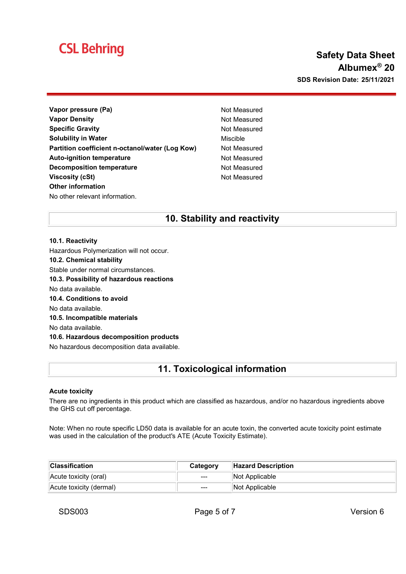# **CSL Behring**

# Safety Data Sheet Albumex® 20 SDS Revision Date: 25/11/2021

- Vapor pressure (Pa) Not Measured Vapor Density **Not Measured** Not Measured Specific Gravity **Not Measured** Not Measured Solubility in Water **Mischle** Miscible Partition coefficient n-octanol/water (Log Kow) Not Measured Auto-ignition temperature Not Measured Decomposition temperature Not Measured Viscosity (cSt) Not Measured Other information No other relevant information.
	-

# 10. Stability and reactivity

#### 10.1. Reactivity

Hazardous Polymerization will not occur.

10.2. Chemical stability

Stable under normal circumstances.

10.3. Possibility of hazardous reactions

No data available.

10.4. Conditions to avoid

No data available.

10.5. Incompatible materials

No data available.

#### 10.6. Hazardous decomposition products

No hazardous decomposition data available.

# 11. Toxicological information

#### Acute toxicity

There are no ingredients in this product which are classified as hazardous, and/or no hazardous ingredients above the GHS cut off percentage.

Note: When no route specific LD50 data is available for an acute toxin, the converted acute toxicity point estimate was used in the calculation of the product's ATE (Acute Toxicity Estimate).

| <b>Classification</b>   | Category               | <b>Hazard Description</b> |
|-------------------------|------------------------|---------------------------|
| Acute toxicity (oral)   | $---$                  | Not Applicable            |
| Acute toxicity (dermal) | $\qquad \qquad \cdots$ | Not Applicable            |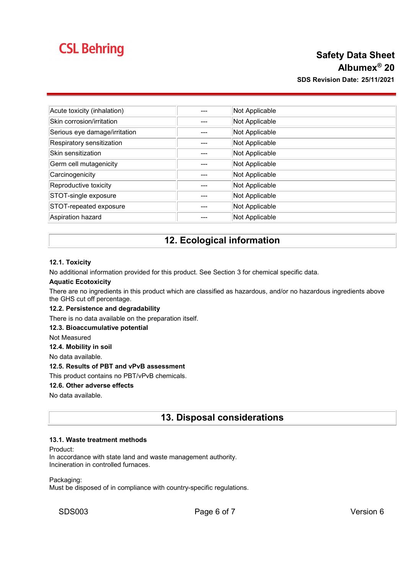# **CSL Behring**

# Safety Data Sheet Albumex® 20 SDS Revision Date: 25/11/2021

| Acute toxicity (inhalation)   | Not Applicable |
|-------------------------------|----------------|
| Skin corrosion/irritation     | Not Applicable |
| Serious eye damage/irritation | Not Applicable |
| Respiratory sensitization     | Not Applicable |
| Skin sensitization            | Not Applicable |
| Germ cell mutagenicity        | Not Applicable |
| Carcinogenicity               | Not Applicable |
| Reproductive toxicity         | Not Applicable |
| STOT-single exposure          | Not Applicable |
| STOT-repeated exposure        | Not Applicable |
| Aspiration hazard             | Not Applicable |

# 12. Ecological information

#### 12.1. Toxicity

No additional information provided for this product. See Section 3 for chemical specific data.

#### Aquatic Ecotoxicity

There are no ingredients in this product which are classified as hazardous, and/or no hazardous ingredients above the GHS cut off percentage.

#### 12.2. Persistence and degradability

There is no data available on the preparation itself.

#### 12.3. Bioaccumulative potential

Not Measured

12.4. Mobility in soil

No data available.

#### 12.5. Results of PBT and vPvB assessment

This product contains no PBT/vPvB chemicals.

#### 12.6. Other adverse effects

No data available.

### 13. Disposal considerations

#### 13.1. Waste treatment methods

Product:

In accordance with state land and waste management authority. Incineration in controlled furnaces.

Packaging:

Must be disposed of in compliance with country-specific regulations.